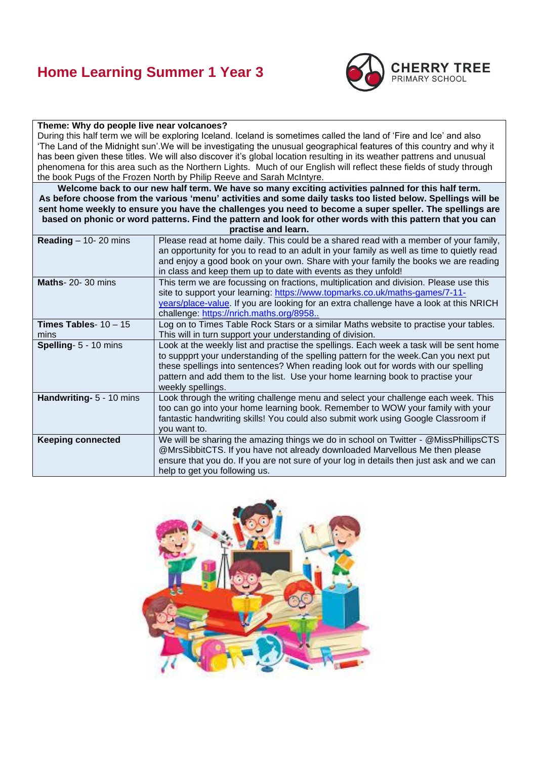## **Home Learning Summer 1 Year 3**



#### **Theme: Why do people live near volcanoes?**

During this half term we will be exploring Iceland. Iceland is sometimes called the land of 'Fire and Ice' and also 'The Land of the Midnight sun'.We will be investigating the unusual geographical features of this country and why it has been given these titles. We will also discover it's global location resulting in its weather pattrens and unusual phenomena for this area such as the Northern Lights. Much of our English will reflect these fields of study through the book Pugs of the Frozen North by Philip Reeve and Sarah McIntyre.

**Welcome back to our new half term. We have so many exciting activities palnned for this half term. As before choose from the various 'menu' activities and some daily tasks too listed below. Spellings will be sent home weekly to ensure you have the challenges you need to become a super speller. The spellings are based on phonic or word patterns. Find the pattern and look for other words with this pattern that you can** 

| practise and learn.             |                                                                                                                                                                                                                                                                                                                                                                           |
|---------------------------------|---------------------------------------------------------------------------------------------------------------------------------------------------------------------------------------------------------------------------------------------------------------------------------------------------------------------------------------------------------------------------|
| Reading $-$ 10- 20 mins         | Please read at home daily. This could be a shared read with a member of your family,<br>an opportunity for you to read to an adult in your family as well as time to quietly read<br>and enjoy a good book on your own. Share with your family the books we are reading<br>in class and keep them up to date with events as they unfold!                                  |
| <b>Maths-20-30 mins</b>         | This term we are focussing on fractions, multiplication and division. Please use this<br>site to support your learning: https://www.topmarks.co.uk/maths-games/7-11-<br>years/place-value. If you are looking for an extra challenge have a look at this NRICH<br>challenge: https://nrich.maths.org/8958                                                                 |
| Times Tables- $10 - 15$<br>mins | Log on to Times Table Rock Stars or a similar Maths website to practise your tables.<br>This will in turn support your understanding of division.                                                                                                                                                                                                                         |
| Spelling- 5 - 10 mins           | Look at the weekly list and practise the spellings. Each week a task will be sent home<br>to suppprt your understanding of the spelling pattern for the week.Can you next put<br>these spellings into sentences? When reading look out for words with our spelling<br>pattern and add them to the list. Use your home learning book to practise your<br>weekly spellings. |
| Handwriting- 5 - 10 mins        | Look through the writing challenge menu and select your challenge each week. This<br>too can go into your home learning book. Remember to WOW your family with your<br>fantastic handwriting skills! You could also submit work using Google Classroom if<br>you want to.                                                                                                 |
| <b>Keeping connected</b>        | We will be sharing the amazing things we do in school on Twitter - @MissPhillipsCTS<br>@MrsSibbitCTS. If you have not already downloaded Marvellous Me then please<br>ensure that you do. If you are not sure of your log in details then just ask and we can<br>help to get you following us.                                                                            |

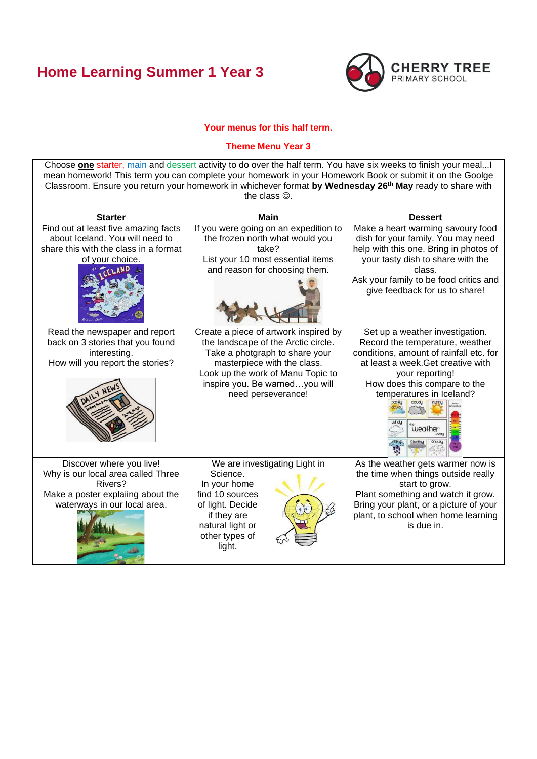# **Home Learning Summer 1 Year 3**



### **Your menus for this half term.**

#### **Theme Menu Year 3**

Choose **one** starter, main and dessert activity to do over the half term. You have six weeks to finish your meal...I mean homework! This term you can complete your homework in your Homework Book or submit it on the Goolge Classroom. Ensure you return your homework in whichever format **by Wednesday 26th May** ready to share with the class  $\circledcirc$ . **Starter Main Dessert** Find out at least five amazing facts If you were going on an expedition to Make a heart warming savoury food about Iceland. You will need to the frozen north what would you dish for your family. You may need help with this one. Bring in photos of share this with the class in a format take? of your choice. List your 10 most essential items your tasty dish to share with the and reason for choosing them. class. Ask your family to be food critics and give feedback for us to share! Read the newspaper and report Create a piece of artwork inspired by Set up a weather investigation. back on 3 stories that you found the landscape of the Arctic circle. Record the temperature, weather interesting. Take a photgraph to share your conditions, amount of rainfall etc. for masterpiece with the class. at least a week.Get creative with How will you report the stories? Look up the work of Manu Topic to your reporting! inspire you. Be warned…you will How does this compare to the need perseverance! temperatures in Iceland? weather snow stormy Discover where you live! We are investigating Light in As the weather gets warmer now is Why is our local area called Three Science. the time when things outside really Rivers? In your home start to grow. Make a poster explaiing about the find 10 sources Plant something and watch it grow. waterways in our local area. of light. Decide Bring your plant, or a picture of your if they are plant, to school when home learning natural light or is due in.other types of light.